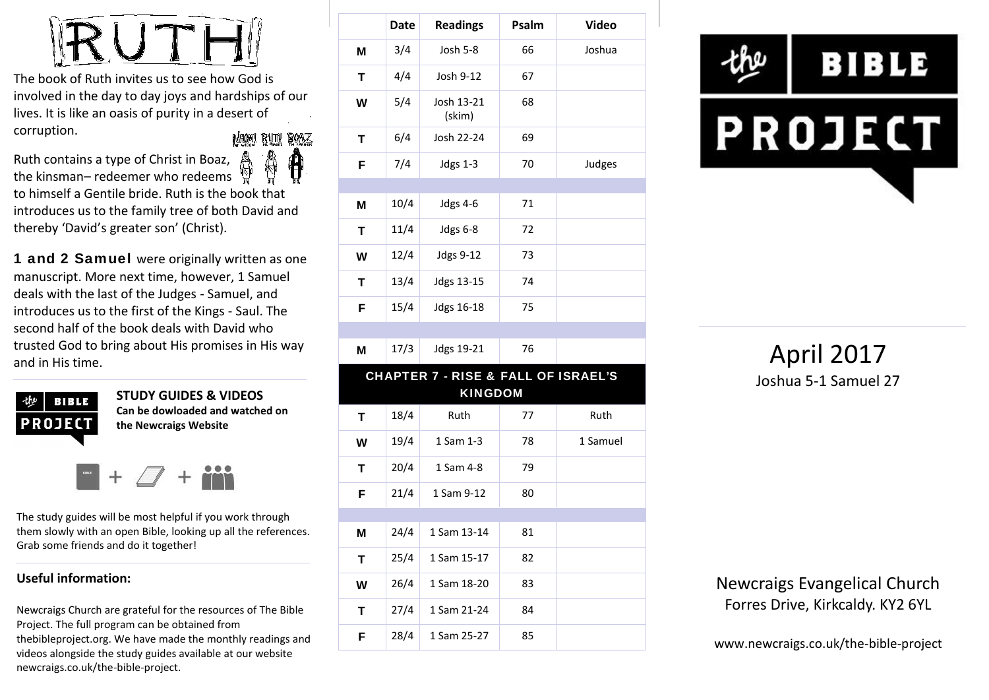

The book of Ruth invites us to see how God is involved in the day to day joys and hardships of our lives. It is like an oasis of purity in a desert of corruption. NAMI RUTH BOAZ

Ruth contains a type of Christ in Boaz, the kinsman– redeemer who redeems to himself a Gentile bride. Ruth is the book that introduces us to the family tree of both David and thereby 'David's greater son' (Christ).

**1 and 2 Samuel** were originally written as one manuscript. More next time, however, 1 Samuel deals with the last of the Judges - Samuel, and introduces us to the first of the Kings - Saul. The second half of the book deals with David who trusted God to bring about His promises in His way and in His time.



**STUDY GUIDES & VIDEOS Can be dowloaded and watched on the Newcraigs Website**

The study guides will be most helpful if you work through them slowly with an open Bible, looking up all the references. Grab some friends and do it together!

#### **Useful information:**

Newcraigs Church are grateful for the resources of The Bible Project. The full program can be obtained from thebibleproject.org. We have made the monthly readings and videos alongside the study guides available at our website newcraigs.co.uk/the-bible-project.

|   | <b>Date</b> | <b>Readings</b>                     | Psalm | <b>Video</b> |
|---|-------------|-------------------------------------|-------|--------------|
| M | 3/4         | Josh 5-8                            | 66    | Joshua       |
| Т | 4/4         | Josh 9-12                           | 67    |              |
| W | 5/4         | Josh 13-21<br>(skim)                | 68    |              |
| T | 6/4         | Josh 22-24                          | 69    |              |
| F | 7/4         | <b>Jdgs 1-3</b>                     | 70    | Judges       |
|   |             |                                     |       |              |
| M | 10/4        | <b>Jdgs 4-6</b>                     | 71    |              |
| T | 11/4        | Jdgs 6-8                            | 72    |              |
| W | 12/4        | Jdgs 9-12                           | 73    |              |
| T | 13/4        | Jdgs 13-15                          | 74    |              |
| F | 15/4        | Jdgs 16-18                          | 75    |              |
|   |             |                                     |       |              |
| M | 17/3        | Jdgs 19-21                          | 76    |              |
|   |             | CHAPTER 7 - RISE & FALL OF ISRAEL'S |       |              |
|   |             | <b>KINGDOM</b>                      |       |              |
| T | 18/4        | Ruth                                | 77    | Ruth         |
| W | 19/4        | 1 Sam 1-3                           | 78    | 1 Samuel     |
| т | 20/4        | 1 Sam 4-8                           | 79    |              |
| F | 21/4        | 1 Sam 9-12                          | 80    |              |
|   |             |                                     |       |              |
| Μ | 24/4        | 1 Sam 13-14                         | 81    |              |
| T | 25/4        | 1 Sam 15-17                         | 82    |              |
| W | 26/4        | 1 Sam 18-20                         | 83    |              |
| т | 27/4        | 1 Sam 21-24                         | 84    |              |
| F | 28/4        | 1 Sam 25-27                         | 85    |              |



April 2017 Joshua 5-1 Samuel 27

Newcraigs Evangelical Church Forres Drive, Kirkcaldy. KY2 6YL

www.newcraigs.co.uk/the-bible-project